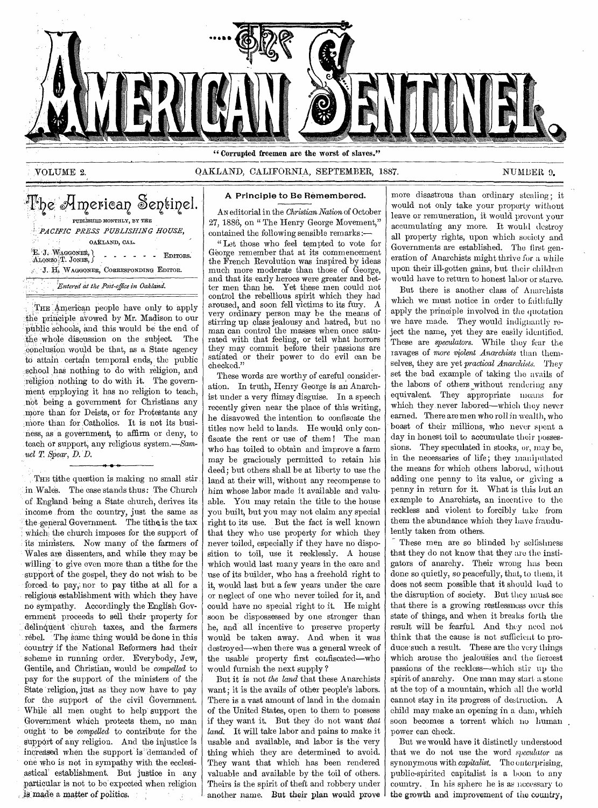

"Corrupted freemen are the worst of slaves."

# ,VOLUME 2. OAKLAND, CALIFORNIA, SEPTEMBER, 1887. NUMBER 9.

The American Sentinel. PUBLISHED MONTHLY, BY THE *1.:PAC1FIC PRESS PUBLISHING HOUSE,*  OAKLAND, CAL. E. J. WAGGONER, (EDITORS. ALONZO T. JONES, J. J. J. J. J. J. EDITORS. *J.* E. WAGGONER, CORRESPONDING EDITOR. *Entered at the Post-office in Oakland.* 

THE American people have only to apply the principle avowed by Mr. Madison to our -public schools, and this would be the end of the whole discussion on the subject. The ,conclusion would be that, as a State agency to attain certain temporal ends, the public school has nothing to do with religion, and religion nothing to do with it. The government employing it has no religion to teach, not being a government for Christians any more than for Deists, or for Protestants any more than for Catholics. It is not its business, as a government, to affirm or deny, to teach or support, any religious system.—Sam*uel T. Spear, D. D.* 

THE tithe question is making no small stir in Wales. The case stands thus: The Church of England being a State church, derives its income from the country, just the same as the general Government. The tithe is the tax which, the church imposes for the support of its ministers. Now many of the farmers of Wales are dissenters, and while they may be willing to give even more than a tithe for the support of the gospel, they do not wish to be forced to pay,: nor to pay tithe at all for a religious establishment with which they have no sympathy. Accordingly the English Government proceeds to sell their property for delinqUent church taxes, and the farmers rebel. The same thing would be done in this country if the National Reformers had their scheme in running order. Everybody, Jew, Gentile, and Christian, would be *compelled* to pay for the support of the ministers of the State religion, just as they now have to pay for the support of the civil Government. While all men ought to help support the Government which protects them, no man ought to be *compelled* to contribute for the support of any religion. And the injustice is increased when the support' is 'demanded of one who is not in sympathy with the ecclesiastical' establishment. But justice in any particular is not to be expected when religion is:made a matter of politics.

# A Principle to Be Remembered.

AN editorial in the *Christian Nation* of October 27, 1886, on " The Henry George Movement," contained the following sensible remarks:—

" Let those who feel tempted to vote for George remember that at its commencement the French Revolution was inspired by ideas much more moderate than those of George, and that its early heroes were greater and better men than he. Yet these men could not control the rebellious spirit which they had aroused, and soon fell victims to its fury. A very ordinary person may be the means of stirring up class jealousy and hatred, but no man can control the masses when once saturated with that feeling, or tell what horrors<br>they may commit before their passions are they may commit before their passions are satiated or their power to do evil can be checked."

These words are worthy of careful consideration. In truth, Henry George is an Anarchist under a very flimsy disguise. In a speech recently given near the place of this writing, he disavowed the intention to confiscate the titles now held to lands. He would only confiscate the rent or use of them ! The man who has toiled to obtain and improve a farm may be graciously permitted to retain his deed; but others shall be at liberty to use the land at their will, without any recompense to him whose labor made it available and valuable. You may retain the title to the house you built, but you may not claim any special right to its use. But the fact is well known that they who use property for which they never toiled, especially if they have no disposition to toil, use it recklessly. A house which would last many years in the care and use of its builder, who has a freehold right to it, would last but a few years under the care or neglect of one who never toiled for it, and could have no special right to it. He might soon be dispossessed by one stronger than he, and all incentive to preserve property would be taken away. And when it was destroyed—when there was a general wreck of the usable property first confiscated—who would furnish the next supply ?

But it is not *the land* that these Anarchists want; it is the avails of other people's labors. There is a vast amount of land in the domain of the United States, open to them to possess if they want it. But they do not want *that land.* It will take labor and pains to make it usable and available, and labor is the very thing which they are determined to avoid. They want that which has been rendered valuable and available by the toil of others. Theirs is the spirit of theft and robbery under another name. But their plan would prove

more disastrous than ordinary stealing; it would not only take your property without leave or remuneration, it would prevent your accumulating any more. It would destroy all property rights, upon which society and Governments are established. The first generation of Anarchists might thrive for a while upon their ill-gotten gains, but their children would have to return to honest labor or starve.

But there is another class of Anarchists which we must notice in order to faithfully apply the principle involved in the quotation we have made. They would indignantly' reject the name, yet they are easily identified. These are *speculators.* While they fear the ravages of *more violent Anarchists* than themselves, they are yet *practical Anarchists.* They set the bad example of taking the avails of the labors of others without rendering any equivalent. They appropriate means for which they.never labored—which they never earned. There are men who roll in wealth, who boast of their millions, who never spent a day in honest toil to accumulate their possessions. They speculated in stocks, or, may be, in the necessaries of life; they manipulated the means for which others labored, without adding one penny to its value, or giving a penny in return for it. What is this hut an example to Anarchists, an incentive to the reckless and violent to forcibly take from them the abundance which they have fraudulently taken from others.

These men are so blinded *by* selfishness that they do not know that they are the instigators of anarchy. Their wrong has been done so quietly, so peacefully, that, to them, it does not seem possible that it should lead to the disruption of society. But they must see that there is a growing restlessness over this state of things, and when it breaks forth the result will be fearful. And they need not think that the cause is not sufficient to produce-such a result. These are the very things which arouse the jealousies and the fiercest passions of the reckless—which stir up the spirit of anarchy. One man may start a stone at the top of a mountain, which all the world cannot stay in its progress of destruction. A child may make an opening in a dam, which soon becomes a torrent which no human. power can check.

But we would have it distinctly understood that we do -not use the word *81,celdator* as synonymous with *capitalist.* The enterprising, public-spirited capitalist is a boon to any country. In his sphere he is as necessary to the growth and improvement of the country,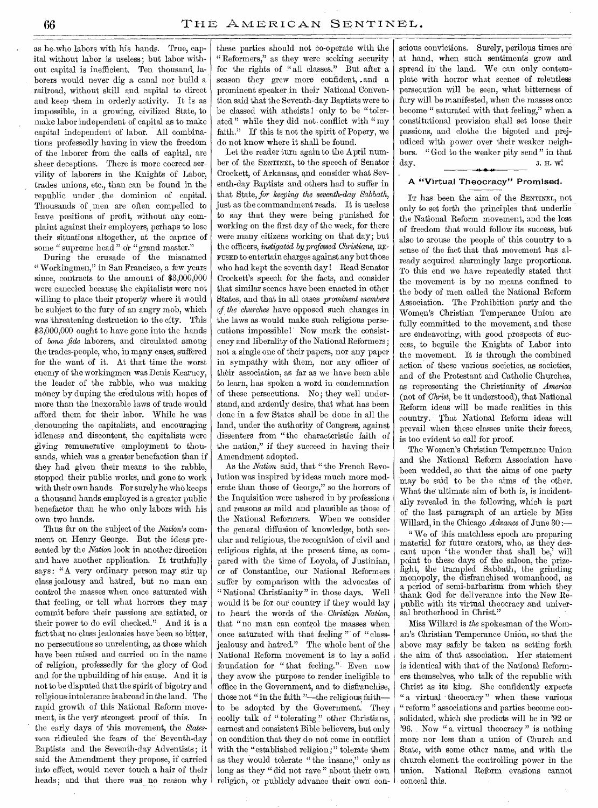as he,who labors with his hands. True, capital without labor is useless; but labor without capital is inefficient. Ten thousand, laborers would never dig a canal nor build a railroad, without skill and capital to direct and keep them in orderly activity. It is as impossible, in a growing, civilized State, to make labor independent of capital as to make capital independent of labor. All combinations professedly having in view the freedom of the laborer from the calls of capital, are sheer deceptions. There is more coerced servility of laborers in the Knights of Labor, trades unions, etc., than can be found in the republic under the dominion of capital. Thousands of men are often compelled to leave positions of profit, without any complaint against their employers, perhaps to lose their situations altogether, at the caprice of some " supreme head " or " grand master."

During the crusade of the misnamed " Workingmen," in San Francisco, a few years since, contracts to the amount of \$3,000,000 were canceled because the capitalists were not willing to place their property where it would be subject to the fury of an angry mob, which was threatening destruction to the city. This \$3,000,000 ought to have gone into the hands of *bona fide* laborers, and circulated among the trades-people, who, in many cases, suffered for the want of it. At that time the worst enemy of the workingmen was Denis Kearney, the leader of the rabble, who was making money by duping the credulous with hopes of more than the inexorable laws of trade would afford them for their labor. While he was denouncing the capitalists, and encouraging idleness and discontent, the capitalists were giving remunerative employment to thousands, which was a greater benefaction than if they had given their means to the rabble, stopped their public works, and gone to work with their own hands. For surely he who keeps a thousand hands employed is a greater public benefactor than he who only labors with his own two hands.

Thus far on the subject of the *Nation's* comment on Henry George. But the ideas presented by the *Nation* look in another direction and have another application. It truthfully says: "A very ordinary person may stir up class jealousy and hatred, but no man can control the masses when once saturated with that feeling, or tell what horrors they may commit before their passions are satiated, or their power to do evil checked." And it is a fact that no class jealousies have been so bitter, no persecutions so unrelenting, as those which have been raised and carried on in the name of religion, professedly for the glory of God and for the upbuilding of his cause. And it is not to be disputed that the spirit of bigotry and religious intolerance is abroad in the land. The rapid growth of this National Reform movement, is the very strongest proof of this. In the early days of this movement, the *Statesman* ridiculed the fears of the Seventh-day Baptists and the Seventh-day Adventists; it said the Amendment they propose, if carried into effect, would never touch a hair of their heads; and that there was no reason why

these parties should not co-operate with the " Reformers," as they were seeking security for the rights of " all classes." But after a season they grew more confident, and a prominent speaker in their National Convention said that the Seventh-day Baptists were to be classed with atheists ! only to be " tolerated" while they did not conflict with "my faith." If this is not the spirit of Popery, we do not know where it shall be found.

Let the reader turn again to the April number of the SENTINEL, to the speech of Senator Crockett, of Arkansas, and consider what Seventh-day Baptists and others had to suffer in that State, *for keeping the seventh-day Sabbath,*  just as the commandment reads. It is useless to say that they were being punished for working on the first day of the week, for there were many citizens working on that day; but the officers, *instigated by professed Christians,* RE-FUSED to entertain charges against any but those who had kept the seventh day ! Read Senator Crockett's speech for the facts, and consider that similar scenes have been enacted in other States, and that in all cases *prominent members of the churches* have opposed such changes in the laws as would make such religious persecutions impossible! Now mark the consistency and liberality of the National Reformers; not a single one of their papers, nor any paper in sympathy with them, nor any officer of their association, as far as we have been able to learn, has spoken a word in condemnation of these persecutions. No; they well understand, and ardently desire, that what has been done in a few States shall be done in all the land, under the authority of Congress, against dissenters from "the characteristic faith of the nation," if they succeed in having their Amendment adopted.

As the *Nation* said, that " the French Revolution was inspired by ideas much more moderate than those of George," so the horrors of the Inquisition were ushered in by professions and reasons as mild and plausible as those of the National Reformers. When we consider the general diffusion of knowledge, both secular and religious, the recognition of civil and religious rights, at the present time, as compared with the time of Loyola, of Justinian, or of Constantine, our National Reformers suffer by comparison with the advocates of " National Christianity" in those days. Well would it be for our country if they would lay to heart the words of the *Christian Nation,*  that "no man can control the masses when once saturated with that feeling " of "classjealousy,and hatred." The whole bent of the National Reform movement is to lay a solid foundation for "that feeling." Even now they avow the purpose to render ineligible to office in the Government, and to disfranchise, those not " in the faith "--- the religious faithto be adopted by the Government. They coolly talk of " tolerating" other Christians, earnest and consistent Bible believers, but only on condition that they do not come in conflict with the "established religion;" tolerate them as they would tolerate " the insane," only as long as they "did not rave" about their own religion, or publicly advance their own conscious convictions. Surely, perilous times are at hand, when such sentiments grow and spread in the land. We can only contemplate with horror what scenes of relentless persecution will be seen, what bitterness of fury will be manifested, when the masses once become " saturated with that feeling," when a constitutional provision shall set loose their passions, and clothe the bigoted and prejudiced with power over their weaker neighbors. " God to the weaker pity send " in that  $day.$  J. H. W. H S a

# A "Virtual Theocracy" Promised.

IT has been the aim of the SENTINEL, not only to set forth the principles that underlie the National Reform movement, and the loss of freedom that would follow its success, but also to arouse the people of this country to a sense of the fact that that movement has already acquired alarmingly large proportions. To this end we have repeatedly stated that the movement is by no means confined to the body of men called the National Reform Association. The Prohibition party and the Women's Christian Temperance Union are fully committed to the movement, and these are endeavoring, with good prospects of success, to beguile the Knights of Labor into the movement. It is through the combined action of these various societies, as societies, and of the 'Protestant and Catholic Churches, as representing the Christianity of *America*  (not of *Christ,* be it understood), that National Reform ideas will be made realities in this country. That National Reform ideas will prevail when these classes unite their forces, is too evident to call for proof.

The Women's Christian Temperance Union and the National Reform Association have been wedded, so that the aims of one party may be said to be the aims of the other. What the ultimate aim of both is, is incidentally revealed in the following, which is part of the last paragraph of an article by Miss Willard, in the Chicago *Advance* of June 30 :—

" We of this matchless epoch are preparing material for future orators, who, as they descant upon 'the wonder that shall be,' will point to these days of the saloon, the prizefight, the trampled Sabbath, the grinding monopoly, the disfranchised womanhood, as a period of semi-barbarism from which they thank God for deliverance into the New Republic- with its virtual theocracy and universal brotherhood in Christ."

Miss Willard is *the* spokesman of the Woman's Christian Temperance Union, so that the above may safely be taken as setting forth the aim of that association. Her statement is identical with that of the National Reformers themselves, who talk of the republic with Christ as its king. She confidently expects " a virtual theocracy" when these various " reform " associations and parties become consolidated, which she predicts will be in '92 or '96. Now " a. virtual theocracy " is nothing more nor less than a union of Church and State, with some other name, and with the church element the controlling power in the union. National Reform evasions cannot conceal this.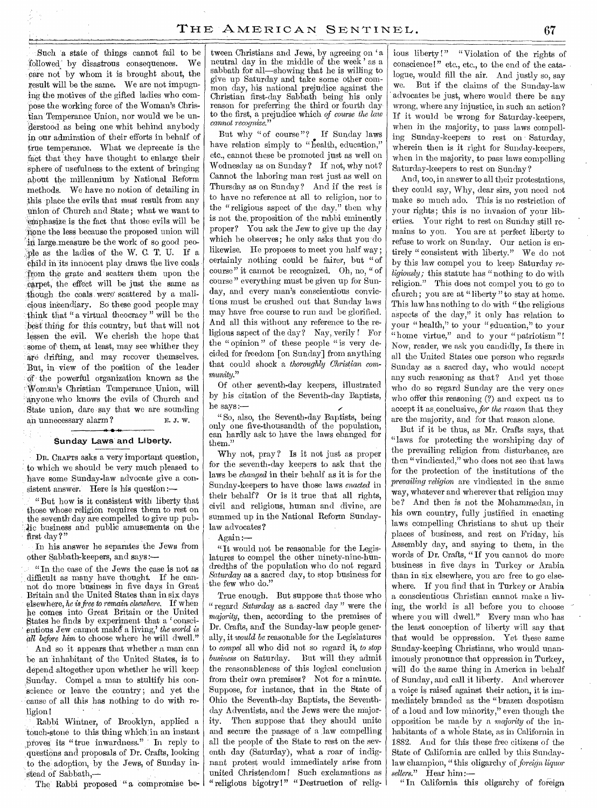Such a state of things cannot fail to be -TolloWed' by disastrous consequences. We care not by whom it is brought about, the result Will be the same. We are not impugning the motives of the gifted ladies who compose the working force of the Woman's Christian-Temperance Union, nor would we be understood. as being one whit behind anybody in our admiration of their efforts in behalf of true temperance. What we deprecate is the fact that they have thought to enlarge their sphere of usefulness to the extent of bringing about the millennium by National Reform methods. We have no notion of detailing in this place the evils that *must* result from any Union of Church and State; what we want to emphasize is the fact that those evils will be none the less because the proposed union will in large measure be the work of so good peo-'Pie as the ladies of the W. C. T. U. If a child in its innocent play draws the live coals from the grate and scatters them upon the .carpet; the effect will be just the same as though the coals were scattered by a malicious incendiary. So these good people may :think that "a virtual theocracy" will be the lfekt thing for this country, but that will not lessen the evil. We cherish the hope that some of them, at least, may see whither they are drifting, and may recover themselves. But, in- view of the position of the leader o;f the powerful organization known as the Woman's Christian Temperance Union, will anyone who knows the evils of Church and State union, dare say that we are sounding an unnecessary alarm ? E. J. W.

#### *N. -I 1*  Sunday Lawa and Liberty.

DR. CRAFTS asks a very important question, to which we should be very much pleased to have some Sunday-law advocate give a consistent answer. Here is his question :-

 $\textdegree$  But how is it consistent with liberty that those whose religion requires them to rest on the seventh day are compelled to give up pubbusiness and public amusements on the first day?"

In his answer he separates the Jews from other Sabbath-keepers, and says:---

"In the case of the Jews the case is not as difficult as many have thought. If he cannot do more business in five days in Great Britain and the United States than in six days elsewhere, *he is free to remain elsewhere.* If when he comes into Great Britain or the United States he finds by experiment that a 'conscientious Jew cannot make<sup>s</sup> a living,' the world is *all before him* to choose where he will dwell."

And so it appears that whether a man can be an inhabitant of the United States, is to depend altogether upon whether he will keep Sunday. Compel a man to stultify his conscience or leave the country; and yet the cause of all this has nothing to do with religion!

Rabbi Wintner, of Brooklyn, applied a 'touch-stone to this thing which:in an instant proves its "true inwardness." In reply to questions and proposals of Dr. Crafts, looking to the adoption, by the Jews, of Sunday instead of Sabbath,—

The Rabbi proposed "a compromise be-

tween Christians and Jews, by agreeing on 'a neutral day in the middle of the week' as a sabbath for all—showing that he is willing to give up Saturday and take some other common day, his national prejudice against the Christian first-day Sabbath being his only reason for preferring the third or fourth day to the first, a prejudice which *of course the law cannot recognize."* 

But why "of course "? If Sunday laws have relation simply to "health, education," etc., cannot these be promoted just as well on Wednesday as on Sunday? If not, why not? Cannot the laboring man rest just as well on Thursday as on Sunday? And if the rest is to have no reference at all to religion, nor to the "religious aspect of the day." then why is not the, proposition of the rabbi eminently proper? You ask the Jew to give up the day which he observes; he only asks that you do likewise. He proposes to meet you half way; certainly nothing could be fairer, but "of course" it cannot be recognized. Oh, no, " of course " everything must be given up for Sunday, and every man's conscientious convictions must be crushed out that Sunday laws may have free course to run and be glorified. And all this without any reference to the religious aspect of the day? Nay, verily ! For the " opinion " of these people "is very decided for freedom [on Sunday] from anything that could shock a *thoroughly Christian community."* 

Of other seventh-day keepers, illustrated by his citation of the Seventh-day Baptists, he says:—

" So, also, the Seventh-day Baptists, being only one five-thousandth of the population, can hardly ask to have the laws changed for them."

Why not, pray? Is it not just as proper for the seventh-day keepers to ask that the laws be *changed* in their behalf as it is for the Sunday-keepers to have those laws *enacted* in their behalf? Or is it true that all rights, civil and religious, human and divine, are summed up in the National Reform Sundaylaw advocates?

Again:—

"It would not be reasonable for the Legislatures to compel the other ninety-nine-hundredths of the population who do not regard *Saturday* as a sacred day, to stop business for the few who do.'

True enough. But suppose that those who " regard *Saturday* as a sacred day " were the *majority,* then, according to the premises of Dr. Crafts, and. the Sunday-law people generally, it *would be* reasonable for the Legislatures to *compel* all who did not so regard it, *to stop business* on Saturday. But will they admit the reasonableness of this logical conclusion from their own premises? Not for a minute. Suppose, for instance, that in the State of Ohio the Seventh-day Baptists, the Seventhday Adventists, and the Jews were the majority. Then suppose that they should unite and secure the passage of a law compelling all the people of the State to rest on the seventh day (Saturday), what a roar of indignant protest would immediately arise from united Christendom! Such exclamations as " religious bigotry !" " Destruction of religious liberty !" " Violation of the rights of conscience!" etc., etc., to the end of the catalogue, would fill the air. And justly so, say we. But if the claims of the Sunday-law ' advocates be just, where would there be any wrong, where any injustice, in such an action? If it would be wrong for Saturday-keepers, when in the majority, to pass laws compelling Sunday-keepers to rest on • Saturday, wherein then is it right for Sunday-keepers, when in the majority, to pass laws compelling Saturday-keepers to rest on Sunday ?

And, too, in answer to all their protestations, they could say, Why, dear sirs, you need not make so much ado. This is no restriction of your rights; this is no invasion of your liberties. Your right to rest on Sunday still remains to you. You are at perfect liberty to refuse to work on Sunday. Our action is entirely "consistent with liberty." We do not by this law compel you to keep Saturday *religiously;* this statute has "nothing to do with religion." This does not compel you to go to church; you are at "liberty" to stay at home. This law has nothing to do with "the religious aspects of the day," it only has- relation to your "health," to your "education," to your "home virtue," and to your "patriotism"! Now, reader, we ask you candidly, Is there in all the United States one person who regards Sunday as a sacred day, who would accept any such reasoning as that? And yet those who do so regard Sunday are the very ones who offer this reasoning (?) and expect us to accept it as, conclusive, *for the reason* that they are the majority, and for that reason alone.

But if it be thus, as Mr. Crafts says, that "laws for protecting the worshiping day of the prevailing religion from disturbance, are then " vindicated," who does not see that laws for the protection of the institutions of the *prevailing religion* are vindicated in the sane way, whatever and wherever that religion may be? And then is not the Mohammedan, in his own country, fully justified in enacting laws compelling Christians to shut up their places of business, and rest on Friday, his Assembly day, and saying to them, in the words of Dr. Crafts, "If you cannot do more business in five days in Turkey or Arabia than in six elsewhere, you are free to go elsewhere. If you find that in Turkey or Arabia a conscientious Christian cannot make a living, the world is all before you to choose where you will dwell." Every man who has the least conception of liberty will say that that would be oppression. Yet these same Sunday-keeping Christians, who would unanimously pronounce that oppression in Turkey, will do the same thing in America in behalf of Sunday, and call it liberty. And wherever a voice is raised against their action, it is immediately branded as the "brazen despotism of a loud and low minority," even though the opposition be made by a *majority* of the inhabitants of a whole State, as in California in 1882. And for this these free citizens of the State of California are called by this Sundaylaw champion, " this oligarchy of *foreign liquor sellers."* Hear him:—

" In California this oligarchy of foreign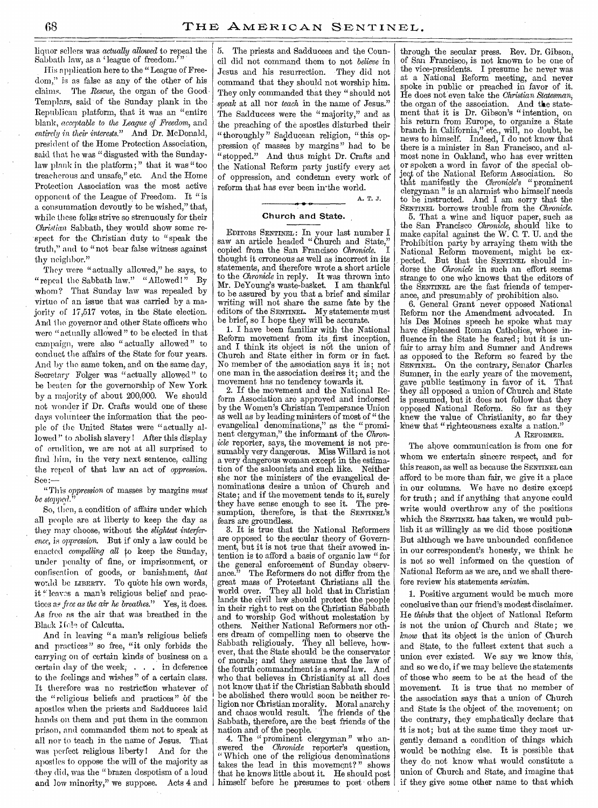liquor sellers was *actually allowed* to repeal the Sabbath law, as a 'league of freedom."

His pplieation here to the "League of Freedom," is as false as any of the other of his claims. The *Rescue*, the organ of the Good Templars, said of the Sunday plank in the Republican platform, that it was an "entire blank, *acceptable to the League of Freedom,* and *entirely in their interests."* And Dr. McDonald, president of the Home Protection Association, said that he was "disgusted with the Sundaylaw plank in the platform; " that it was "too treacherous and unsafe," etc. And the Home Protection Association was the most active opponent of the League of Freedom. It "is a consummation devoutly to be wished," that, while these folks strive so strenuously for their *Christian* Sabbath, they would show some respect for the Christian duty to "speak the truth," and to "not bear false witness against thy neighbor."

They were "actually allowed," he says, to "repeal the Sabbath law." "Allowed!" By whom? That Sunday law was repealed by virtue of an issue that was carried by a majority of 17,517 votes, in the State election. And the governor and other State officers who were "actually allowed" to be elected in that campaign, were also "actually allowed" to conduct the affairs of the State for four years. And by the same token, and on the same day, Secretary Folger was "actually allowed" to be beaten for the governorship of New York by a majority of about 200,000. We should not wonder if Dr. Crafts would one of these days volunteer the information that the people of the United States were "actually allowed" to abolish slavery I After this display of erudition, we are not at all surprised to find him, in the very next sentence, calling the repeal of that law an act of *oppression.*  See :—

" This *oppression* of masses by margins *must be stopped.* 

So, then, a condition of affairs under which all people are at liberty to keep the day as they may choose, without the *slightest interference, is oppression.* But if only a law could be enacted *compelling all to* keep the Sunday, under penalty of fine, or imprisonment, or confiscation of goods, or banishment, *that*  would be LIBERTY. To quote his own words, it "leaves a man's religious belief and pracflees *as free as the air he breathes."* Yes, it does. As free as the air that was breathed in the Black Kele of Calcutta.

And in leaving "a man's religious beliefs and practices" so free, "it only forbids the carrying on of certain kinds of business on a certain day of the week; . . . in deference to the feelings and wishes" of a certain class. It therefore was no restriction whatever of the "religious beliefs and practices" of the apostles when the priests and Sadducees laid hands on them and put them in the common prison, and commanded them not to speak at all nor to teach in the name of Jesus. That was perfect religious liberty! And for the apostles to oppose the will of the majority as they did, was the "brazen despotism of a loud and low minority," we suppose. Acts 4 and | himself before he presumes to post others

5. The priests and Sadducees and the Council did not command them to not *believe* in Jesus and his resurrection. They did not command that they should not worship him. They only commanded that they "should not *speak* at all nor *teach* in the name of Jesus." The Sadducees were the "majority," and as the preaching of the apostles disturbed their " thoroughly " Sadducean religion, "this oppression of masses by margins" had to be "stopped." And thus might Dr. Crafts and the National Reform party justify every act of oppression, and condemn every work of reform that has ever been in the world.

A. T. J.

## Church and State.

EDITORS SENTINEL : In your last number **I**  saw an article headed " Church and State," copied from the San Francisco *Chronicle.* I thought it erroneous as well as incorrect in its statements, and therefore wrote a short article to the *Chronicle* in reply. It was thrown into Mr. DeYoung's waste-basket. I am thankful to be assured by you that a brief and similar writing will not share the same fate by the editors of the SENTINEL. My statements must be brief, so I hope they will be accurate.

1. I have been familiar with the National Reform movement from its first inception, and I think its object is not the union of Church and State either in form or in fact. No member of the association says it is; not one man in the association desires it; and the movement has no tendency towards it.

2. If the movement and the National Reform Association are approved and indorsed by the Women's Christian Temperance Union as well as by leading ministers of most of "the evangelical denominations," as the "prominent clergyman," the informant of the *Chronicle* reporter, says, the movement is not presumably very dangerous. Miss Willard is not a very dangerous woman except in the estimation of the saloonists and such like. Neither she nor the ministers of the evangelical denominations desire a union of Church and State; and if the movement tends to it, surely they have sense enough to see it. The presumption, therefore, is that the SENTINEL's fears are groundless.

3. It is true that the National Reformers are opposed to the secular theory of Government, but it is not true that their avowed intention is to afford a basis of organic law "for the general enforcement of Sunday observ-<br>ance." The Reformers do not differ from the The Reformers do not differ from the great mass of Protestant Christians all the world over. They all hold that in Christian lands the civil law should protect the people in their right to rest on the Christian Sabbath and to worship God without molestation by others. Neither National Reformers nor others dream of compelling men to observe the Sabbath religiously. They all believe, however, that the State should be the conservator of morals; and they assume that the law of the fourth commandment is a *moral* law. And who that believes in Christianity at all does not know that if the Christian Sabbath should be abolished there would soon be neither religion nor Christian morality. Moral anarchy and chaos would result. The friends of the Sabbath, therefore, are the best friends of the nation and of the people.

4. The "prominent clergyman" who an-<br>rered the *Chronide* reporter's question. swered the *Chronicle* reporter's " Which one of the religious denominations takes the lead in this movement?" shows that he knows little about it. He should post

through the secular press. Rev. Dr. Gibson, of San Francisco, is not known to be one of the vice-presidents. I presume he never was at a National Reform meeting, and never spoke in public or preached in favor of it. He does not even take the *Christian Statesman;*  the organ of the association. And the statement that it is Dr. Gibson's "intention, on his return from Europe, to organize a State branch in California," etc., will, no doubt, be news to himself. Indeed, I do not know that there is a minister in San Francisco, and almost none in Oakland, who has ever written or spoken a word in favor of the special ohject of the National Reform Association. So that manifestly the *Chronicle's* " prominent clergyman" is an alarmist who himself needs to be instructed. And I am sorry that the SENTINEL borrows trouble from the *Chronicle.* 

5. That a wine and liquor paper, such as the San Francisco *Chronicle,* should like to make capital against the W. C. T. U. and the Prohibition party by arraying them with the National Reform movement, might be expected. But that the SENTINEL should indorse the *Chronicle* in such an effort seems strange to one who knows that the editors of the SENTINEL are the fast friends of temperance, and presumably of prohibition also.

6. General Grant never opposed National Reform nor the Amendment advocated. In his Des Moines speech he spoke what may have displeased Roman Catholics, whose influence in the State he feared; but it is unfair to array him and Sumner and Andrews as opposed to the Reform so feared by the SENTINEL. On the contrary, Senator Charles Sumner, in the early years of the movement,<br>gave public testimony in favor of it. That gave public testimony in favor of it. they all opposed a union of Church and State is presumed, but it does not follow that they opposed National Reform. So far as they knew the value of Christianity, so far they knew that "righteousness exalts a nation."

A REFORMER.

The above communication is from one for whom we entertain sincere respect, and for this reason, as well as because the SENTINEL can afford to be more than fair, we give it a place in our columns. We have no desire except for truth ; and if anything that anyone could write would overthrow any of the positions which the SENTINEL has taken, we would publish it as willingly as we did those positions But although we have unbounded confidence in our correspondent's honesty, we think he is not so well informed on the question of National Reform as we are, and we shall therefore review his statements *seriatim.* 

1. Positive argument would be much more conclusive than our friend's modest disclaimer. He *thinks* that the object of National Reform is not the union of Church and State; we *know* that its object is the union of Church and State, to the fullest extent that such a union ever existed. We say we know this, and so we do, if we may believe the statements of those who seem to be at the head of the movement. It is true that no member of the association says that a union of Church and State is the object of the. movement; on the contrary, they emphatically declare that it is not; but at the same time they most urgently demand a condition of things which would be nothing else. It is possible that they do not know what would constitute a union of Church and State, and imagine that if they give some other name to that which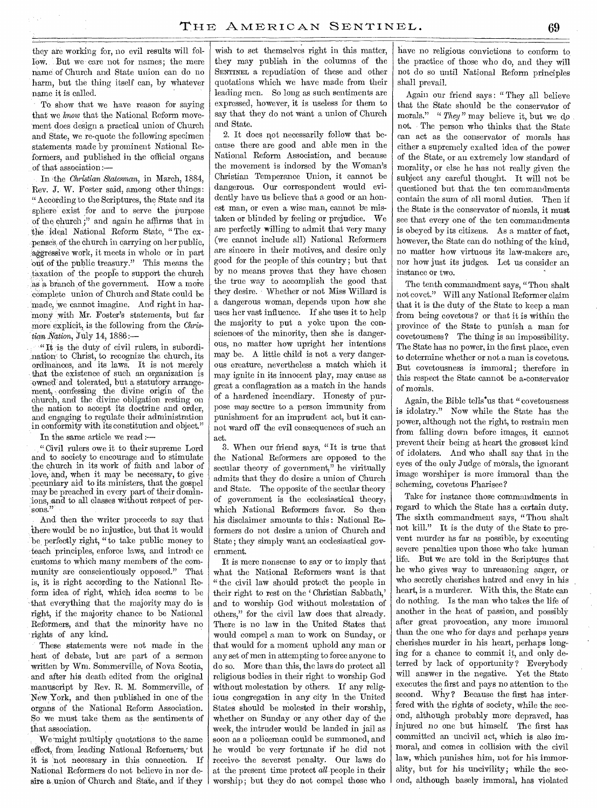they are working for, no evil results will follow. But we care not for names; the mere name of Church and State union can do no harm, but the thing itself can, by whatever name it is called.

To show that we have reason for saying that we *know* that the National, Reform movement does design a practical union of Church and State, we re-quote the following specimen statements, made by prominent National Reformers, and published in the official organs of that association :—

In the *Christian Statesman,* in March, 1884, Rev. J. W. Foster said, among other things: " According to the Scriptures, the State and its sphere exist for and to serve the purpose of the church;" and again he affirms that in the ideal National Reform State, "The expenses of the church in carrying on her public, :aggressive work, it meets in whole or in part out of the public treasury." This means the \_taxation of the people to support the church as a branch of the government. How a more complete union of Church and State could be made, we cannot imagine. And right in harmony with Mr. Foster's statements, but far more explicit, is the following from the *Christian Nation,* July 14, 1886 :—

" It is the duty of civil rulers, in subordination to Christ, to recognize the church, its ordinances, and its laws. It is not merely that the existence of such an organization is owned'and tolerated, but a statutory arrangement, confessing the divine origin of the church, and the divine obligation resting on the nation to accept its doctrine and order, and engaging to regulate their administration in conformity with its constitution and object."

In the same article we read :—

" Civil rulers owe it to their supreme Lord and to society to encourage and to stimulate the church in its work of faith and labor of love, and, when it may be necessary, to give ,pecuniary aid to its ministers, that the gospel may be preached in every part of their dominions, And to all classes without respect of persons."

And then the writer proceeds to say that there would be no injustice, but that it would be, perfectly right, "to take public money to teach principles, enforce laws, and introduce Customs to which many members of the community are conscientiously opposed." That is, it is right according to the National Reform idea of right, which idea seems to be that everything that the majority may do is right, if the majority chance to be National Reformers, and that the minority have no 'rights of any kind.

These statements were not made in the heat of debate, but are part of a sermon written by Wm. Sommerville, of Nova Scotia, and after his death edited from the original manuscript by Rev. R. M. Sommerville, of New,York, and then published in one of the organs of the National Reform Association. So we must take them as the sentiments of that association.

We might multiply quotations to the same effect, from leading National Reformers,' but it is not necessary in this connection. If National Reformers do not believe in nor desire a union of Church and State, and if they wish to set themselves right in this matter, they may publish in the columns of the SENTINEL a repudiation of these and other quotations which we have made from their leading men. So long as such sentiments are expressed, however, it is useless for them to say that they do not want a union of Church and State.

2. It does not necessarily follow that because there are good and able men in the National Reform Association, and because the movement is indorsed by the Woman's Christian Temperance Union, it cannot be dangerous. Our correspondent would evidently have us believe that a good or an honest man, or even a wise man, cannot be mistaken or blinded by feeling or prejudice. We are perfectly willing to admit that very many (we cannot include all) National Reformers are sincere in their motives, and desire only good for the people of this country; but that by no means proves that they have chosen the true way to accomplish the good that they desire. Whether or not Miss Willard is a dangerous woman, depends upon how she uses her vast influence. If she uses it to help the majority to put a yoke upon the consciences of the minority, then she is dangerous, no matter how upright her intentions may be. A little child is not a very dangerous creature, nevertheless a match which it may ignite in its innocent play, may cause as great a conflagration as a match in the hands of a hardened incendiary. Honesty of purpose may secure to a person immunity from punishment for an imprudent act, but it cannot ward off the evil consequences of such an act.

3. When our friend says, " It is true that the National Reformers are opposed to the secular theory of government," he viritually admits that they do desire a union of Church and State. The opposite of the secular theory of government is the ecclesiastical theory, which National Reformers favor. So then his disclaimer amounts to this : National Reformers do not desire a union of Church and State ; they simply want, an ecclesiastical government.

It is mere nonsense to say or to imply that what the National Reformers want is that " the civil law should protect the people in their right to rest on the Christian Sabbath,' and to worship God without molestation of others," for the civil law does that already. There is no law in the United. States that would compel a man to work on Sunday, or that would for a moment uphold any man or any set of men in attempting to force anyone to do so. More than this, the laws do protect all religious bodies in their right to worship God without molestation by others. If any religious congregation in any city in the United States should be molested in their worship, whether on Sunday or any other day of the week, the intruder would be landed in jail as soon as a policeman could be summoned, and he would be very fortunate if he did not receive- the severest penalty. Our laws do at the present time protect *all* people in their worship; but they do not compel those who

have no religious convictions to conform to the practice of those who do, and they will not do so until National Reform principles shall prevail.

Again our friend says : " They all believe that the State should be the conservator of morals." " They" may believe it, but we do not. The person who thinks that the State can act as the conservator of morals has either a supremely exalted idea of the power of the State, or an extremely low standard of morality, or else he has not really given the subject any careful thought. It will not be questioned but that the ten commandments contain the sum of all moral duties. Then if the State is the conservator of morals, it must see that every one of the ten commandments is obeyed by its citizens. As a matter of fact, however, the State can do nothing of the kind, no matter how virtuous its law-makers are, nor how just its judges. Let us consider an instance or two.

The tenth commandment says, "Thou shalt not covet." Will any National Reformer claim that it is the duty of the State to keep a man from being covetous? or that it is within the province of the State to punish a man for covetousness? The thing is an impossibility. The State has no power, in the first place, even to determine whether or not a man is covetous. But covetousness is immoral; therefore in this respect the State cannot be a.conservator of morals.

Again, the Bible tells'us that "covetousness is idolatry." Now while the State has the power, although not the right, to restrain men from falling down before images, it cannot prevent their being at heart the grossest kind of idolaters. And who shall say that in the eyes of the only Judge of morals, the ignorant image worshiper is more immoral than the scheming, covetous Pharisee?

Take for instance those commandments in regard to which the State has a certain duty. The sixth commandment says, " Thou shalt not kill." It is the duty of the State to prevent murder as far as possible, by executing severe penalties upon those who take human life. But we are told in the Scriptures that he who gives way to unreasoning anger, or who secretly cherishes hatred and envy in his heart, is a murderer. With this, the State can do nothing. Is the man who takes the life of another in the heat of passion, and possibly after great provocation, any more immoral than the one who for days and perhaps years cherishes murder in his heart, perhaps longing for a chance to commit it, and only deterred by lack of opportunity? Everybody will answer in the negative. Yet the State executes the first and pays no attention to the second. Why? Because the first has interfered with the rights of society, while the second, although probably more depraved, has injured no one but himself. The first has committed an uncivil act, which is also immoral, and comes in collision with the civil law, which punishes him, not for his immorality, but for his uncivility; while the second, although basely immoral, has violated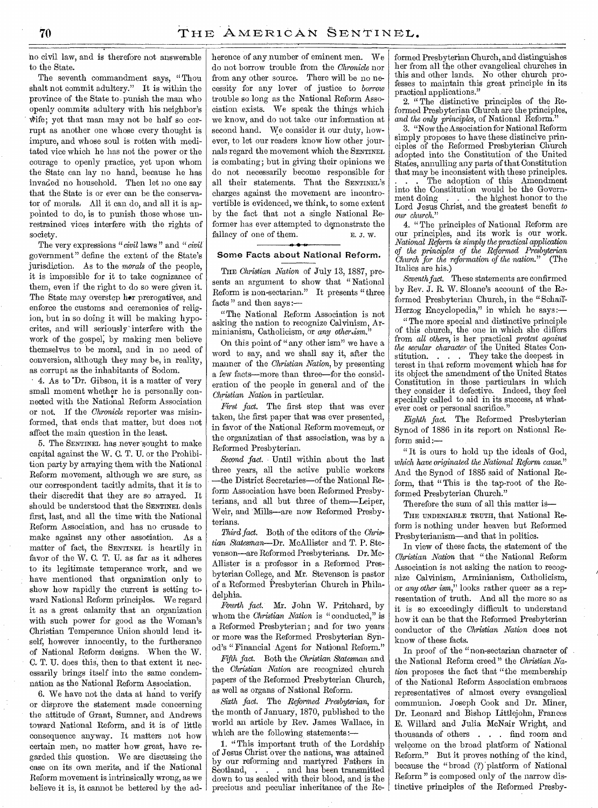no civil law, and is therefore not answerable to the State.

The seventh commandment says, "Thou shalt not commit adultery." It is within the province of the State to . punish the man who openly commits adultery with his neighbor's whife; yet that man may not be half so corrupt as another one whose every thought is impure, and whose soul is rotten with meditated vice which he has not the power or the courage to openly practice, yet upon whom the State can lay no hand, because he has invaded no household. Then let no one say that the State is or ever can be the conservator of morals: All it can do, and all it is appointed to do, is to punish those whose unrestrained vices interfere with the rights of society.

The very expressions *"civil* laws " and *"civil*  government" define the extent of the State's jurisdiction. As to the *morals* of the people, it is impossible for it to take cognizance of them, even if the right to do so were given it. The State may overstep her prerogatives, and enforce the customs and ceremonies of religion, but in so doing it will be making hypocrites, and will seriously-interfere with the work of the gospel; by making men believe themselves to be moral, and in no need of conversion, although they may be, in reality, as corrupt as the inhabitants of Sodom.

4. As to Dr. Gibson, it is a matter of very small moment whether he is personally connected with the National Reform Association or not. If the *Chronicle* reporter was misinformed, that ends that matter, but does not affect the main question in the least.

5. The SENTINEL has never sought to make capital against the W. C. T. U. or the Prohibition party by arraying them with the National Reform movement, although we are sure, as our correspondent tacitly admits, that it is to their discredit that they are so arrayed. It should be understood that the SENTINEL deals first, last, and all the time with the National Reform Association, and has no crusade to make against any other association. As a matter of fact, the SENTINEL is heartily in favor of the W. C. T. U. as far as it adheres to its legitimate temperance- work, and we have mentioned that organization only to show how rapidly the current is setting toward National Reform principles. We regard it as a great calamity that an organization with such power for good as the Woman's Christian Temperance Union should lend itself, however innocently, to the furtherance of National Reform designs. When the W. C. T. U. does this, then to that extent it necessarily brings itself into the same condemnation as the National Reform Association.

6. We have not the data at hand to verify or disprove the statement made concerning the attitude of Grant, Sumner, and Andrews toward National Reform, and it is of little consequence anyway. It matters not how certain men, no matter how great, have regarded this question. We are discussing the case on its own merits, and if the National Reform movement is intrinsically wrong, as we believe it is, it cannot be bettered by the adherence of any number of eminent men. We do not borrow trouble from the *Chronicle* nor from any other source. There will be no necessity for any lover of justice to *borrow*  trouble so long as the National Reform Association exists. We speak the things which we know, and do not take our information at second hand. We consider it our duty, however, to let our readers know how other journals regard the movement which the SENTINEL is combating; but in giving their opinions we do not necessarily become responsible for all their statements. That the SENTINEL'S charges against the movement are incontrovertible is evidenced, we think, to some extent by the fact that not a single National Reformer has ever attempted to demonstrate the fallacy of one of them.  $E. J. W.$ 

# Some Facts about National Reform.

THE *Christian Nation* of July 13, 1887, presents an argument to show that " National Reform is non-sectarian." It presents "three facts" and then says:-

"The\_ National Reform Association is not asking the nation to recognize Calvinism, Arminianism, Catholicism, or any *other.ism."* 

On this point of " any other ism" we have a word to say, and we shall say it, after the manner of the *Christian Nation,* by presenting a few facts—more than three—for the consideration of the people in general and of the *Christian Nation* in particular.

*First fact.* The first step that was ever taken, the first paper that was ever presented, in favor of the National Reform movement, or the organizatian of that association, was by a Reformed Presbyterian.

*Second fact.* Until within about the last three years, all the active public workers —the District Secretaries—of the National Reform Association have been Reformed Presbyterians, and all but three of them—Leiper, Weir, and 'Mills—are now Reformed Presbyterians.

*Third fact.* Both of the editors of the *Christian Statesman—Dr.* McAllister and T. P. Stevenson—are Reformed Presbyterians. Dr. Mc-Allister is a-professor in a Reformed Presbyterian College, and Mr. Stevenson is pastor of a Reformed Presbyterian Church in Philadelphia.

Fourth fact. Mr. John W. Pritchard, by whom the *Christian Nation* is "conducted," is a Reformed Presbyterian ; and for two years or more was the Reformed Presbyterian Synod's "Financial Agent for National Reform."

*Fifth* fact. Both the *Christian Statesman* and the *Christian Nation* are recognized church papers of the Reformed Presbyterian Church, as well as organs of National Reform.

*Sixth fact.* The *Reformed Presbyterian,* for the month of January, 1870, published to the world an article by Rev. James Wallace, in which are the following statements:-

1. " This important truth of the Lordship of Jesus Christ over the nations, was attained by our reforming and martyred Fathers in Scotland, . . . and has been transmitted down to us sealed with their blood, and is the precious and peculiar inheritance of the Reformed Presbyterian Church, and distinguishes her from all the other evangelical churches in this and other lands. No other church professes to maintain this great principle in its practical applications."

2. " The distinctive principles of the Reformed Presbyterian Church are the principles, and the only principles, of National Reform.

3. "Now the Association for National Reform simply proposes to have these distincive principles of the Reformed Presbyterian Church adopted into the Constitution of the United States, annulling any parts of that Constitution that may be inconsistent with these principles.

The adoption of this Amendment into the Constitution would be the Government doing . . . the highest honor to the Lord Jesus Christ, and the greatest benefit *to our church."* 

4. "The principles of National Reform are our principles, and its work is our work. *National Reform is simply the practical application of the principles of the Reformed Presbyterian Church for the reformation of the nation.*" Italics are his.)

*Seventh fact.* These statements are confirmed by Rev. J. R. W. Sloane's account of the Reformed Presbyterian Church, in the " Schaff-Herzog Encyclopedia," in which he says:—

"The more special and distinctive principle of this church, the one in which she differs from *all others,* is her practical *protest against the secular character-* of the United States Constitution. . . . They take the deepest in terest in that reform movement which has for its object the amendment of the United States Constitution in those particulars in which they consider it defective. Indeed, they feel specially called to aid in its success, at whatever cost or personal sacrifice."

*Eighth fact.* The Reformed Presbyterian Synod of 1886 in its report on National Reform said:

" It is ours to hold up the ideals of God, *which have originated the National Reform cause."*  And the Synod of 1885 said of National Reform, that "This is the tap-root of the Reformed Presbyterian Church."

Therefore the sum of all this matter is—

THE UNDENIABLE TRUTH, that National Reform is nothing under heaven but Reformed Presbyterianism—and that in politics.

In view of these facts, the statement of the *Christian Nation* that " the National Reform Association is not asking the nation to recognize Calvinism, Arminianism, Catholicism, or any *other ism,"* looks rather queer as a representation of truth. And all the more so as it is so exceedingly difficult to understand how it can be that the Reformed Presbyterian conductor of the *Christian Nation* does not know of these facts.

In proof of the "non-sectarian character of. the National Reform creed " the *Christian Nation* proposes the fact that "the membership of the National Reform Association embraces representatives of almost every evangelical communion. Joseph Cook and Dr. Miner, Dr. Leonard and Bishop Littlejohn, Frances E. Willard and Julia McNair Wright, and thousands of others . . . find room and welcome on the broad platform of National Reform." But it proves nothing of the kind, because the "broad (?) platform of National Reform " is composed only of the narrow distinctive principles of the Reformed Presby-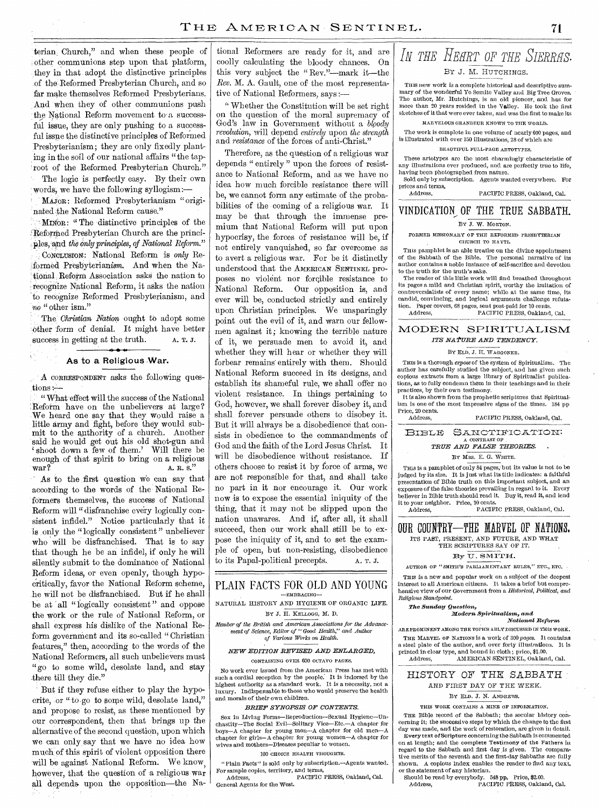terian. Church," and when these people of other communions step upon that platform, they in that . adopt the distinctive principles .of the-Reformed Presbyterian Church, and so far make themselves Reformed Presbyterians. And 'when they of other communions push the National Reform movement to a successful issue, they are only pushing to a successful issue the distinctive principles of Reformed 'Presbyterianism; they are only fixedly planting in the soil of our national affairs "the taproot of the Reformed Presbyterian Church." The logic is perfectly easy. By their own words, we have the following syllogism:—

MAJOR: Reformed Presbyterianism "originated the National Reform cause."

MINOR: "The distinctive principles of the Reformed Presbyterian Church are the principles, and *the only principles, of National Reform.*" CONCLUSION: National Reform is only Reformed Presbyterianism,. And when the Na tional Reform Association asks the nation to -recognize National Reform, it asks the nation to recognize Reformed Presbyterianism, and no " other ism."

The: *Christian Nation* ought to adopt some other 'form of denial. It might have better success in getting at the truth.  $\overline{A}$ . T. J.

#### As to a Religious War.

A CORRESPONDENT asks the following questions :—

" What effect will the success of the National .Reform have on the unbelievers at large? We heard one say that they would raise a little army and fight, before they would submit to the authority of a church. Another said he would get out his old shot-gun and shoot down a few of them.' Will there be enough of that spirit to bring on a religious war?<br> $A. R. S.$ A. R. S."

As to the first question we can say that according to the words of the National Reformers themselves, the success of National Reform will " disfranchise every logically consistent infidel." Notice particularly that it is only the "logically consistent" unbeliever who will be disfranchised. That is to say that though he be an infidel, if only he will silently submit to the dominance of National Reform ideas, or even openly, though hypocritically, favor the National Reform scheme, he will not be disfranchised. But if he shall be at all "logically consistent" and oppose the work or the rule of National Reform, or shall express his dislike of the National Reform government and its so-called " Christian features," then, according to the words of the National Reformers, all such unbelievers must "go to some wild, desolate land, and stay there till they die."

But if they refuse either to play the hypocrite, or " to go to some wild, desolate land," and propose to resist, as these mentioned by our correspondent, then that brings up the alternative of the second question, upon which we can only say that we have no idea how much of this spirit of violent opposition there will be against National Reform. We know, however, that the question of a religious war all depends upon the opposition—the Na-

tional Reformers are ready for it, and are coolly calculating the bloody chances. On this very subject the " Rev."—mark it—the *Rev.* M. A. Gault, one of the most representative of National Reformers, says :—

" Whether the Constitution will be set right on the question of the moral supremacy of God's law in Government without a *bloody revolution,* will depend *entirely* upon *the strength*  and *resistance* of the forces of anti-Christ."

Therefore, as the question of a religious war depends " entirely " upon the forces of resistance to National Reform, and as we have no idea how much forcible resistance there will be, we cannot form any estimate of the probabilities of the coming of a religious war. It may be that through the immense premium that National Reform will put upon hypocrisy, the forces of resistance will be, if not entirely vanquished, so far overcome as to avert a religious war. For be it distinctly understood that the AMERICAN SENTINEL proposes no violent nor forcible resistance to National Reform. Our opposition is, and ever will be, conducted strictly and entirely upon Christian principles. We unsparingly point out the evil of it, and warn our fellowmen against it; knowing the terrible nature of it, we persuade men to avoid it, and whether they will hear or whether they will forbear remains entirely with them. Should National Reform succeed in its designs, and establish its shameful rule, we shall offer no violent resistance. In things pertaining to God, however, we shall forever disobey it, and shall forever persuade others to disobey it. But it will always be a disobedience that consists in obedience to the commandments of God and the faith of the Lord Jesus Christ. It will be disobedience without resistance. If others choose to resist it by force of arms, we are not responsible for that, and shall take no part in it nor encourage it. Our work now is to expose the essential iniquity of the thing, that it may not be slipped upon the nation unawares. And if, after all, it shall succeed, then our work shall still be to expose the iniquity of it, and to set the example of open, but non-resisting, disobedience to its Papal-political precepts. A. T. J.

#### PLAIN FACTS FOR OLD AND YOUNG —EMBRACING—

NATURAL HISTORY AND HYGIENE OF ORGANIC LIFE. BY J. H. KELLOGG, M. D.

*Member of the British and American Associations for the Advancement of Science, Editor of "Good Health," and Author of Various Works on Health.* 

#### *NEW EDITION REVISED AND ENLARGED,*  CONTAINING OVER 600 OCTAVO PAGES.

No work ever issued from the American Press has met with such a cordial reception by the people. It is indorsed by the highest authority as a standard work. It is a necessity, not a luxury. Indispensable to those who would preserve the health and morals of their own children.

#### *BRIEF SYNOPSIS OF CONTENTS.*

Sex in Living Forms—Reproduction—Sexual Hygiene—Unchastity—The Social Evil—Solitary Vice—Etc.—A chapter for boys—A chapter for young men—A chapter for old men—A chapter for girls—A chapter for young women—A chapter for wives and mothers—Diseases peculiar to women.

#### 100 CHOICE HEALTH THOUGHTS.

"Plain Facts" is sold only by subscription.—Agents wanted. For sample copies, territory, and terms, Address, PACIFIC PRESS, Oakland, Cal.

General Agents for the West.

# *IN THE IIEHRTOF THE SIERRHS.*  BY J. M. HUTCHINGS.

THIS new work is a complete historical and descriptive summary of the wonderful Yo Semite Valley and BigTree Groves. The author, Mr. Hutchings, is an old pioneer, and has for more than 20 years resided in the Valley. He took the first sketches of it that were ever taken, and was the first to make its MARVELOUS GRANDEUR KNOWN TO THE WORLD.

The work is complete in one volume of nearly 600 pages, and is illustrated with over 150 illustrations, 28 of which are

#### BEAUTIFUL FULL-PAGE ARTOTYPES.

These artotypcs are the most charmingly characteristic of any illustrations ever produced, and are perfectly true to life, having been photographed from nature.

Sold only by subscription. Agents wanted everywhere. For prices and terms,

PACIFIC PRESS, Oakland, Cal.

# VINDICATION\_ OF THE TRUE SABBATH.

#### BY J. W. MORTON.

FORMER MISSIONARY OF THE REFORMED PRESBYTERIAN CHURCH TO HAYTI.

THIS pamphlet is an able treatise on the divine appointment of the Sabbath of the Bible. The personal narrative of its author contains a noble instance of self-sacrifice and devotion

to the truth for the truth's sake. The reader of this little work will find breathed throughout its pages a mild and Christian spirit, worthy the imitation of controversialists of every name;while at the same time, its candid, convincing, and logical arguments challenge refutation. Paper covers, 68 pages, sent post-paid for 10 cents.<br>Address, PACIFIC PRESS, Oakland

PACIFIC PRESS, Oakland, Cal.

## MODERN SPIRITUALISM *ITS NA PURE AND TENDENCY.*

#### BY ELD. J. H. WAGGONER.

THIS is a thorough *expose* of the system of Spiritualism. The author has carefully studied the subject, and has given such copious extracts from a large library of Spiritualist publications, as to fully condemn them in their teachings and in their

practices, by their own testimony. It is also shown from the prophetic scriptures that Spiritualism is one of the most impressive signs of the times. 184 pp Price, 20 cents.

PACIFIC PRESS, Oakland, Cal.

BIBLE SANCTIFICATION:  $\Lambda$  CONTRAST OF

# *TRUE AND FALSE THEORIES.*

BY MRS. E. G. WHITE.

This is a pamphlet of only 84 pages; but its value is not to be judged by its size. It is just what its title indicates: a faithful presentation of Bible truth on this important subject, and an exposure of the false theories prevailing in regard to it. Every believer in Bible truth should read it. Buy it, read it, and lend it to your neighbor. Price, 10 cents. Address, PACIFIC PRESS, Oakland, Cal.

OUR COUNTRY-THE MARVEL OF NATIONS, ITS PAST, PRESENT, AND FUTURE, AND WHAT THE SCRIPTURES SAY OF IT.

#### By U. SMITH.

AUTHOR OF "SMITH'S PARLIAMENTARY RULES," ETC., ETC. THIS is a new and popular work on a subject *of* the deepest interest to all American citizens. It takes a brief but comprehensive view of our Government from a *Historical, Political, and* 

#### *Religious Standpoint.*

## *The Sunday question,*

#### *;Modern Spiritualism., and National Reform*

ARE PROMINENT AMONG THE TOPICS ABLY DISCUSSED IN THIS WORK. THE MARVEL OF NATIONS is a work of 300 *pages. It* contains a steel plate of the author, and over forty illustrations. It is printed in clear type, and bound in cloth ; price, \$1.00. Address, AMERICAN SENTINEL, Oakland, Cal.

## HISTORY OF THE SABBATH AND FIRST DAY OF THE WEEK.

#### BY ELD. J. N. ANDREWS.

#### THIS WORK CONTAINS A MINE OF INFORMATION.

THE Bible record of the Sabbath; the secular history concerning it; the successive steps by which the change to the first day was made, and the work of restoration, are given in detail. Every text of Scripture concerning the Sabbath is commented on at length; and the complete Testimony of the Fathers in regard to the Sabbath and first day is given. The compara• tive merits of the seventh and the first-day Sabbaths are fully shown. A copious index enables the reader to find any text,

or the statement of any historian.<br>
Should be read by everybody. 548 pp. Price, \$2.00.<br>
Address, PACIFIC PRESS, Oakland, Cal.